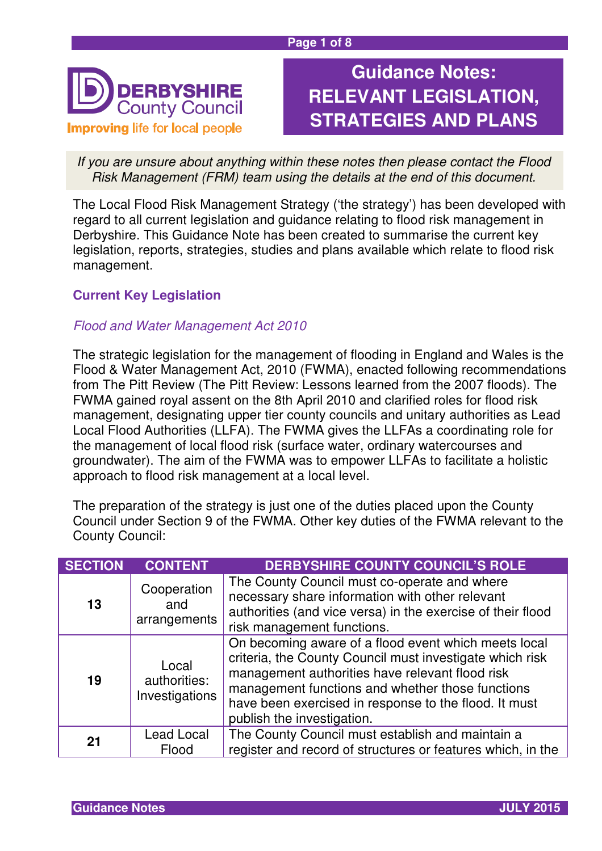

# **Guidance Notes: RELEVANT LEGISLATION, STRATEGIES AND PLANS**

If you are unsure about anything within these notes then please contact the Flood Risk Management (FRM) team using the details at the end of this document.

The Local Flood Risk Management Strategy ('the strategy') has been developed with regard to all current legislation and guidance relating to flood risk management in Derbyshire. This Guidance Note has been created to summarise the current key legislation, reports, strategies, studies and plans available which relate to flood risk management.

## **Current Key Legislation**

### Flood and Water Management Act 2010

The strategic legislation for the management of flooding in England and Wales is the Flood & Water Management Act, 2010 (FWMA), enacted following recommendations from The Pitt Review (The Pitt Review: Lessons learned from the 2007 floods). The FWMA gained royal assent on the 8th April 2010 and clarified roles for flood risk management, designating upper tier county councils and unitary authorities as Lead Local Flood Authorities (LLFA). The FWMA gives the LLFAs a coordinating role for the management of local flood risk (surface water, ordinary watercourses and groundwater). The aim of the FWMA was to empower LLFAs to facilitate a holistic approach to flood risk management at a local level.

The preparation of the strategy is just one of the duties placed upon the County Council under Section 9 of the FWMA. Other key duties of the FWMA relevant to the County Council:

| <b>SECTION</b> | <b>CONTENT</b>                          | <b>DERBYSHIRE COUNTY COUNCIL'S ROLE</b>                                                                                                                                                                                                                                                                        |
|----------------|-----------------------------------------|----------------------------------------------------------------------------------------------------------------------------------------------------------------------------------------------------------------------------------------------------------------------------------------------------------------|
| 13             | Cooperation<br>and<br>arrangements      | The County Council must co-operate and where<br>necessary share information with other relevant<br>authorities (and vice versa) in the exercise of their flood<br>risk management functions.                                                                                                                   |
| 19             | Local<br>authorities:<br>Investigations | On becoming aware of a flood event which meets local<br>criteria, the County Council must investigate which risk<br>management authorities have relevant flood risk<br>management functions and whether those functions<br>have been exercised in response to the flood. It must<br>publish the investigation. |
| 21             | Lead Local<br>Flood                     | The County Council must establish and maintain a<br>register and record of structures or features which, in the                                                                                                                                                                                                |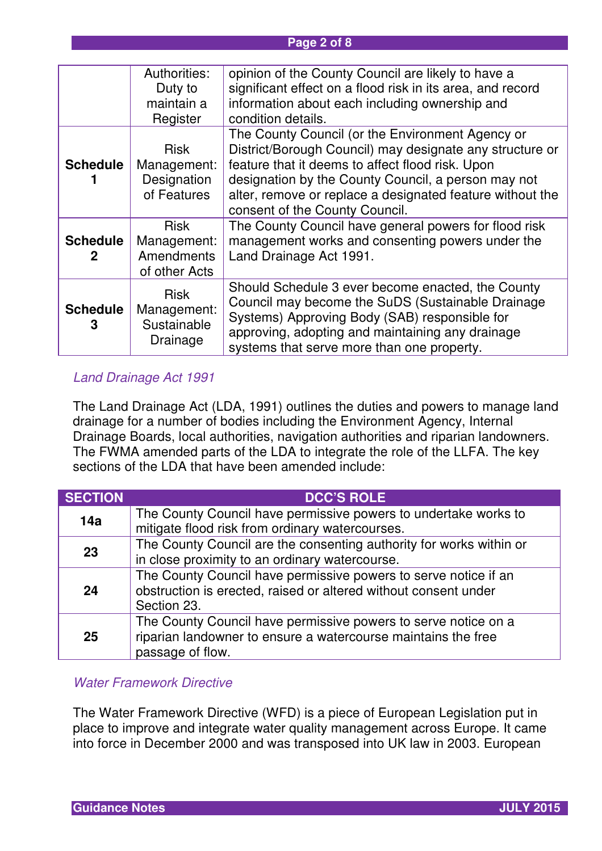#### **Page 2 of 8**

|                      | Authorities:<br>Duty to<br>maintain a                                | opinion of the County Council are likely to have a<br>significant effect on a flood risk in its area, and record<br>information about each including ownership and                                                                                                                                                                           |
|----------------------|----------------------------------------------------------------------|----------------------------------------------------------------------------------------------------------------------------------------------------------------------------------------------------------------------------------------------------------------------------------------------------------------------------------------------|
| <b>Schedule</b>      | Register<br><b>Risk</b><br>Management:<br>Designation<br>of Features | condition details.<br>The County Council (or the Environment Agency or<br>District/Borough Council) may designate any structure or<br>feature that it deems to affect flood risk. Upon<br>designation by the County Council, a person may not<br>alter, remove or replace a designated feature without the<br>consent of the County Council. |
| <b>Schedule</b><br>2 | <b>Risk</b><br>Management:<br><b>Amendments</b><br>of other Acts     | The County Council have general powers for flood risk<br>management works and consenting powers under the<br>Land Drainage Act 1991.                                                                                                                                                                                                         |
| <b>Schedule</b><br>3 | <b>Risk</b><br>Management:<br>Sustainable<br>Drainage                | Should Schedule 3 ever become enacted, the County<br>Council may become the SuDS (Sustainable Drainage<br>Systems) Approving Body (SAB) responsible for<br>approving, adopting and maintaining any drainage<br>systems that serve more than one property.                                                                                    |

#### Land Drainage Act 1991

The Land Drainage Act (LDA, 1991) outlines the duties and powers to manage land drainage for a number of bodies including the Environment Agency, Internal Drainage Boards, local authorities, navigation authorities and riparian landowners. The FWMA amended parts of the LDA to integrate the role of the LLFA. The key sections of the LDA that have been amended include:

| <b>SECTION</b> | <b>DCC'S ROLE</b>                                                                                                                                   |
|----------------|-----------------------------------------------------------------------------------------------------------------------------------------------------|
| 14a            | The County Council have permissive powers to undertake works to<br>mitigate flood risk from ordinary watercourses.                                  |
| 23             | The County Council are the consenting authority for works within or<br>in close proximity to an ordinary watercourse.                               |
| 24             | The County Council have permissive powers to serve notice if an<br>obstruction is erected, raised or altered without consent under<br>Section 23.   |
| 25             | The County Council have permissive powers to serve notice on a<br>riparian landowner to ensure a watercourse maintains the free<br>passage of flow. |

#### Water Framework Directive

The Water Framework Directive (WFD) is a piece of European Legislation put in place to improve and integrate water quality management across Europe. It came into force in December 2000 and was transposed into UK law in 2003. European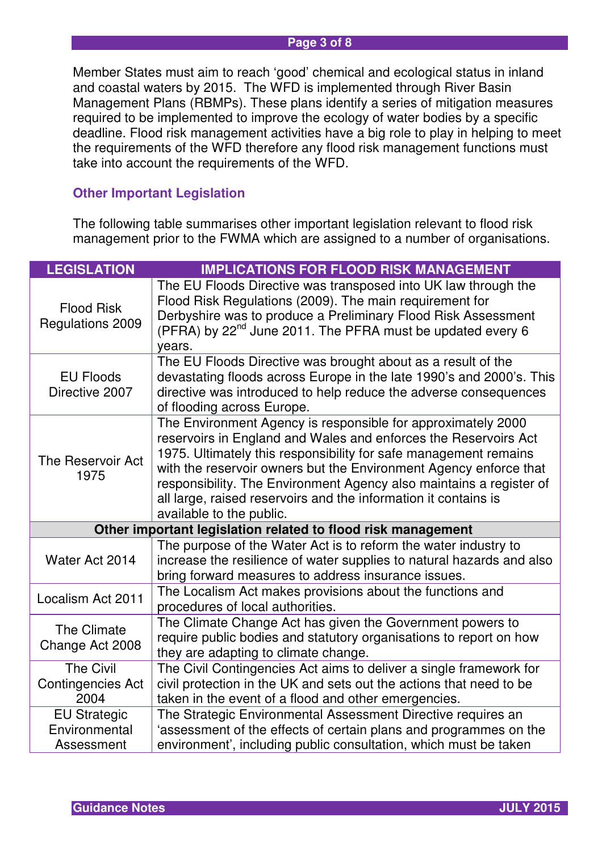#### **Page 3 of 8**

Member States must aim to reach 'good' chemical and ecological status in inland and coastal waters by 2015. The WFD is implemented through River Basin Management Plans (RBMPs). These plans identify a series of mitigation measures required to be implemented to improve the ecology of water bodies by a specific deadline. Flood risk management activities have a big role to play in helping to meet the requirements of the WFD therefore any flood risk management functions must take into account the requirements of the WFD.

#### **Other Important Legislation**

The following table summarises other important legislation relevant to flood risk management prior to the FWMA which are assigned to a number of organisations.

| <b>LEGISLATION</b>                                   | <b>IMPLICATIONS FOR FLOOD RISK MANAGEMENT</b>                                                                                                                                                                                                                                                                                                                                                                                                  |
|------------------------------------------------------|------------------------------------------------------------------------------------------------------------------------------------------------------------------------------------------------------------------------------------------------------------------------------------------------------------------------------------------------------------------------------------------------------------------------------------------------|
| <b>Flood Risk</b><br>Regulations 2009                | The EU Floods Directive was transposed into UK law through the<br>Flood Risk Regulations (2009). The main requirement for<br>Derbyshire was to produce a Preliminary Flood Risk Assessment<br>(PFRA) by 22 <sup>nd</sup> June 2011. The PFRA must be updated every 6<br>years.                                                                                                                                                                 |
| <b>EU Floods</b><br>Directive 2007                   | The EU Floods Directive was brought about as a result of the<br>devastating floods across Europe in the late 1990's and 2000's. This<br>directive was introduced to help reduce the adverse consequences<br>of flooding across Europe.                                                                                                                                                                                                         |
| The Reservoir Act<br>1975                            | The Environment Agency is responsible for approximately 2000<br>reservoirs in England and Wales and enforces the Reservoirs Act<br>1975. Ultimately this responsibility for safe management remains<br>with the reservoir owners but the Environment Agency enforce that<br>responsibility. The Environment Agency also maintains a register of<br>all large, raised reservoirs and the information it contains is<br>available to the public. |
|                                                      | Other important legislation related to flood risk management                                                                                                                                                                                                                                                                                                                                                                                   |
| Water Act 2014                                       | The purpose of the Water Act is to reform the water industry to<br>increase the resilience of water supplies to natural hazards and also<br>bring forward measures to address insurance issues.                                                                                                                                                                                                                                                |
| Localism Act 2011                                    | The Localism Act makes provisions about the functions and<br>procedures of local authorities.                                                                                                                                                                                                                                                                                                                                                  |
| The Climate<br>Change Act 2008                       | The Climate Change Act has given the Government powers to<br>require public bodies and statutory organisations to report on how<br>they are adapting to climate change.                                                                                                                                                                                                                                                                        |
| <b>The Civil</b><br><b>Contingencies Act</b><br>2004 | The Civil Contingencies Act aims to deliver a single framework for<br>civil protection in the UK and sets out the actions that need to be<br>taken in the event of a flood and other emergencies.                                                                                                                                                                                                                                              |
| <b>EU Strategic</b><br>Environmental<br>Assessment   | The Strategic Environmental Assessment Directive requires an<br>'assessment of the effects of certain plans and programmes on the<br>environment', including public consultation, which must be taken                                                                                                                                                                                                                                          |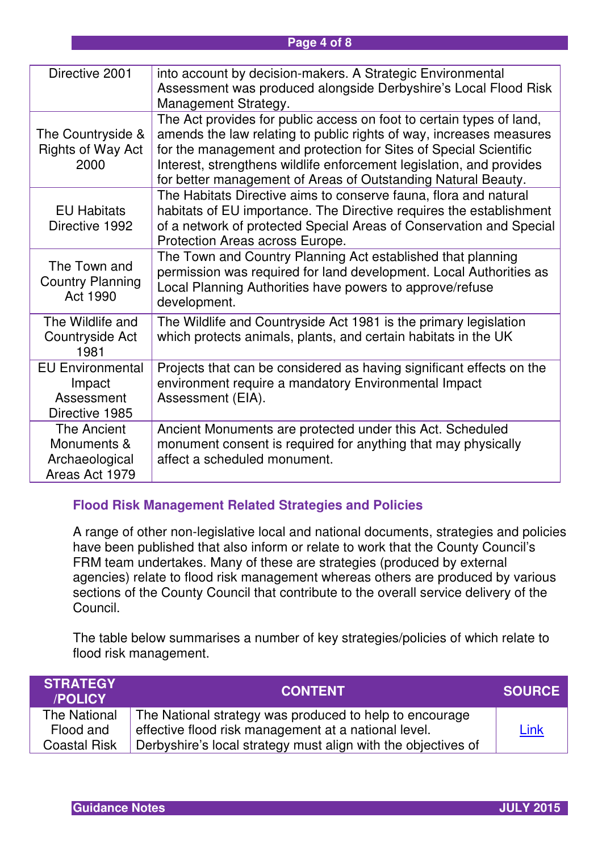#### **Page 4 of 8**

| Directive 2001                                                    | into account by decision-makers. A Strategic Environmental<br>Assessment was produced alongside Derbyshire's Local Flood Risk<br>Management Strategy.                                                                                                                                                                                                     |
|-------------------------------------------------------------------|-----------------------------------------------------------------------------------------------------------------------------------------------------------------------------------------------------------------------------------------------------------------------------------------------------------------------------------------------------------|
| The Countryside &<br><b>Rights of Way Act</b><br>2000             | The Act provides for public access on foot to certain types of land,<br>amends the law relating to public rights of way, increases measures<br>for the management and protection for Sites of Special Scientific<br>Interest, strengthens wildlife enforcement legislation, and provides<br>for better management of Areas of Outstanding Natural Beauty. |
| <b>EU Habitats</b><br>Directive 1992                              | The Habitats Directive aims to conserve fauna, flora and natural<br>habitats of EU importance. The Directive requires the establishment<br>of a network of protected Special Areas of Conservation and Special<br>Protection Areas across Europe.                                                                                                         |
| The Town and<br><b>Country Planning</b><br>Act 1990               | The Town and Country Planning Act established that planning<br>permission was required for land development. Local Authorities as<br>Local Planning Authorities have powers to approve/refuse<br>development.                                                                                                                                             |
| The Wildlife and<br>Countryside Act<br>1981                       | The Wildlife and Countryside Act 1981 is the primary legislation<br>which protects animals, plants, and certain habitats in the UK                                                                                                                                                                                                                        |
| <b>EU Environmental</b><br>Impact<br>Assessment<br>Directive 1985 | Projects that can be considered as having significant effects on the<br>environment require a mandatory Environmental Impact<br>Assessment (EIA).                                                                                                                                                                                                         |
| The Ancient<br>Monuments &<br>Archaeological<br>Areas Act 1979    | Ancient Monuments are protected under this Act. Scheduled<br>monument consent is required for anything that may physically<br>affect a scheduled monument.                                                                                                                                                                                                |

#### **Flood Risk Management Related Strategies and Policies**

A range of other non-legislative local and national documents, strategies and policies have been published that also inform or relate to work that the County Council's FRM team undertakes. Many of these are strategies (produced by external agencies) relate to flood risk management whereas others are produced by various sections of the County Council that contribute to the overall service delivery of the Council.

The table below summarises a number of key strategies/policies of which relate to flood risk management.

| <b>ISTRATEGY</b><br>/POLICY | <b>CONTENT</b>                                                | <b>SOURCE</b> |
|-----------------------------|---------------------------------------------------------------|---------------|
| The National                | The National strategy was produced to help to encourage       |               |
| Flood and                   | effective flood risk management at a national level.          | Link          |
| <b>Coastal Risk</b>         | Derbyshire's local strategy must align with the objectives of |               |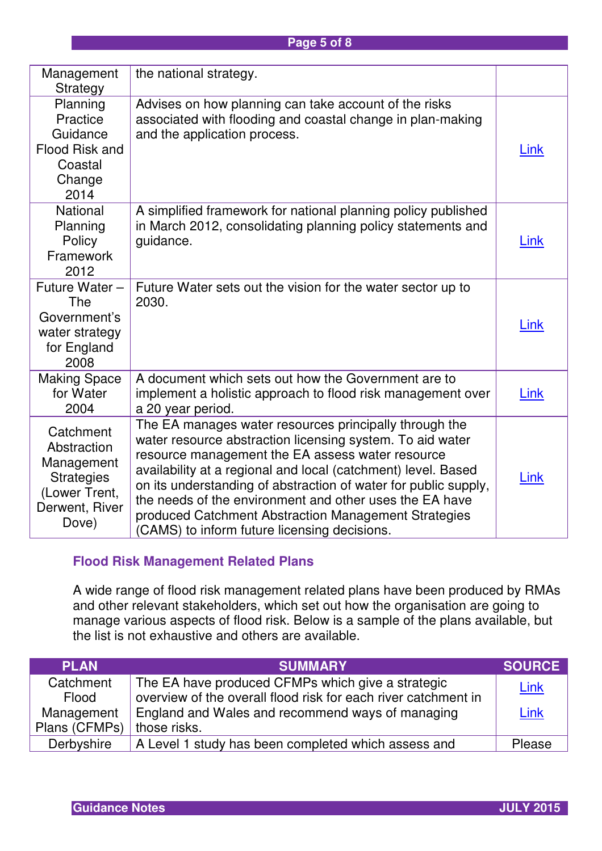| Management<br>Strategy                                                                                  | the national strategy.                                                                                                                                                                                                                                                                                                                                                                                                                                                         |             |
|---------------------------------------------------------------------------------------------------------|--------------------------------------------------------------------------------------------------------------------------------------------------------------------------------------------------------------------------------------------------------------------------------------------------------------------------------------------------------------------------------------------------------------------------------------------------------------------------------|-------------|
| Planning<br>Practice<br>Guidance<br>Flood Risk and<br>Coastal<br>Change<br>2014                         | Advises on how planning can take account of the risks<br>associated with flooding and coastal change in plan-making<br>and the application process.                                                                                                                                                                                                                                                                                                                            | <u>Link</u> |
| <b>National</b><br>Planning<br>Policy<br>Framework<br>2012                                              | A simplified framework for national planning policy published<br>in March 2012, consolidating planning policy statements and<br>guidance.                                                                                                                                                                                                                                                                                                                                      | Link        |
| Future Water -<br><b>The</b><br>Government's<br>water strategy<br>for England<br>2008                   | Future Water sets out the vision for the water sector up to<br>2030.                                                                                                                                                                                                                                                                                                                                                                                                           | Link        |
| <b>Making Space</b><br>for Water<br>2004                                                                | A document which sets out how the Government are to<br>implement a holistic approach to flood risk management over<br>a 20 year period.                                                                                                                                                                                                                                                                                                                                        | <b>Link</b> |
| Catchment<br>Abstraction<br>Management<br><b>Strategies</b><br>(Lower Trent,<br>Derwent, River<br>Dove) | The EA manages water resources principally through the<br>water resource abstraction licensing system. To aid water<br>resource management the EA assess water resource<br>availability at a regional and local (catchment) level. Based<br>on its understanding of abstraction of water for public supply,<br>the needs of the environment and other uses the EA have<br>produced Catchment Abstraction Management Strategies<br>(CAMS) to inform future licensing decisions. | <b>Link</b> |

## **Flood Risk Management Related Plans**

A wide range of flood risk management related plans have been produced by RMAs and other relevant stakeholders, which set out how the organisation are going to manage various aspects of flood risk. Below is a sample of the plans available, but the list is not exhaustive and others are available.

| <b>PLAN</b>   | <b>SUMMARY</b>                                                 | <b>SOURCE</b> |
|---------------|----------------------------------------------------------------|---------------|
| Catchment     | The EA have produced CFMPs which give a strategic              | <u>Link</u>   |
| Flood         | overview of the overall flood risk for each river catchment in |               |
| Management    | England and Wales and recommend ways of managing               | Link          |
| Plans (CFMPs) | those risks.                                                   |               |
| Derbyshire    | A Level 1 study has been completed which assess and            | Please        |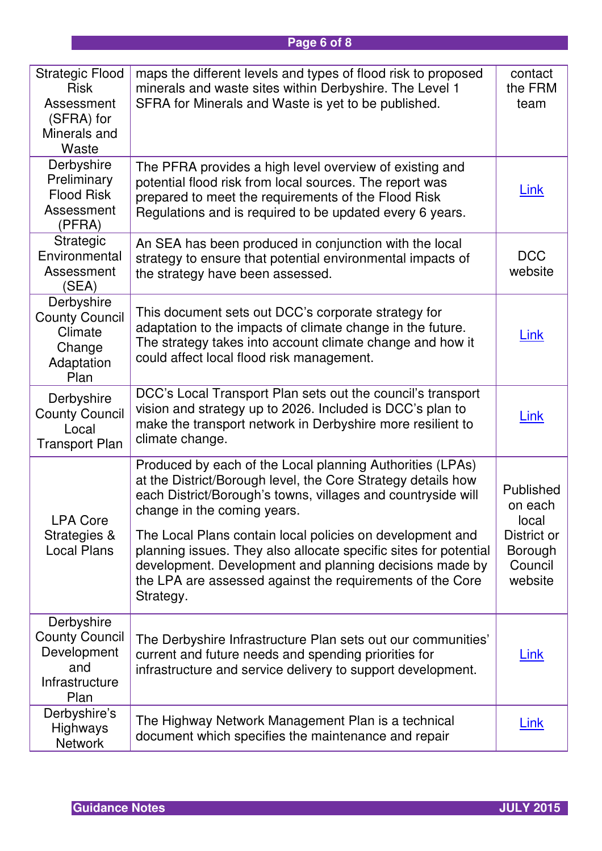# **Page 6 of 8**

| <b>Strategic Flood</b><br><b>Risk</b><br>Assessment<br>(SFRA) for<br>Minerals and<br>Waste | maps the different levels and types of flood risk to proposed<br>minerals and waste sites within Derbyshire. The Level 1<br>SFRA for Minerals and Waste is yet to be published.                                                                                                                                                                                                                                                                                                                | contact<br>the FRM<br>team                                                           |
|--------------------------------------------------------------------------------------------|------------------------------------------------------------------------------------------------------------------------------------------------------------------------------------------------------------------------------------------------------------------------------------------------------------------------------------------------------------------------------------------------------------------------------------------------------------------------------------------------|--------------------------------------------------------------------------------------|
| Derbyshire<br>Preliminary<br><b>Flood Risk</b><br>Assessment<br>(PFRA)                     | The PFRA provides a high level overview of existing and<br>potential flood risk from local sources. The report was<br>prepared to meet the requirements of the Flood Risk<br>Regulations and is required to be updated every 6 years.                                                                                                                                                                                                                                                          | <u>Link</u>                                                                          |
| <b>Strategic</b><br>Environmental<br>Assessment<br>(SEA)                                   | An SEA has been produced in conjunction with the local<br>strategy to ensure that potential environmental impacts of<br>the strategy have been assessed.                                                                                                                                                                                                                                                                                                                                       | <b>DCC</b><br>website                                                                |
| Derbyshire<br><b>County Council</b><br>Climate<br>Change<br>Adaptation<br>Plan             | This document sets out DCC's corporate strategy for<br>adaptation to the impacts of climate change in the future.<br>The strategy takes into account climate change and how it<br>could affect local flood risk management.                                                                                                                                                                                                                                                                    | <u>Link</u>                                                                          |
| Derbyshire<br><b>County Council</b><br>Local<br><b>Transport Plan</b>                      | DCC's Local Transport Plan sets out the council's transport<br>vision and strategy up to 2026. Included is DCC's plan to<br>make the transport network in Derbyshire more resilient to<br>climate change.                                                                                                                                                                                                                                                                                      | <u>Link</u>                                                                          |
| <b>LPA Core</b><br><b>Strategies &amp;</b><br><b>Local Plans</b>                           | Produced by each of the Local planning Authorities (LPAs)<br>at the District/Borough level, the Core Strategy details how<br>each District/Borough's towns, villages and countryside will<br>change in the coming years.<br>The Local Plans contain local policies on development and<br>planning issues. They also allocate specific sites for potential<br>development. Development and planning decisions made by<br>the LPA are assessed against the requirements of the Core<br>Strategy. | Published<br>on each<br>local<br>District or<br><b>Borough</b><br>Council<br>website |
| Derbyshire<br><b>County Council</b><br>Development<br>and<br>Infrastructure<br>Plan        | The Derbyshire Infrastructure Plan sets out our communities'<br>current and future needs and spending priorities for<br>infrastructure and service delivery to support development.                                                                                                                                                                                                                                                                                                            | <u>Link</u>                                                                          |
| Derbyshire's<br><b>Highways</b><br><b>Network</b>                                          | The Highway Network Management Plan is a technical<br>document which specifies the maintenance and repair                                                                                                                                                                                                                                                                                                                                                                                      | <u>Link</u>                                                                          |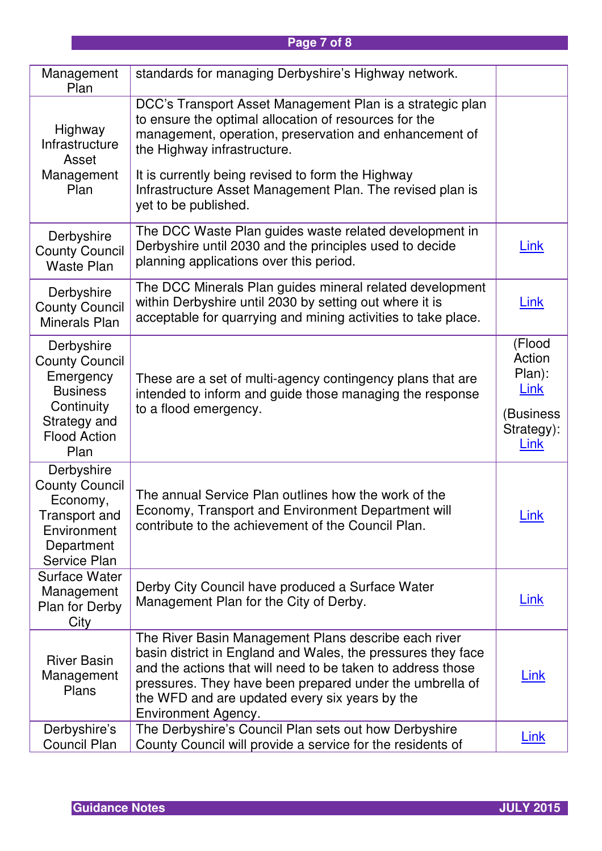# **Page 7 of 8**

| Management<br>Plan                                                                                                               | standards for managing Derbyshire's Highway network.                                                                                                                                                                                                                                                                            |                                                                              |
|----------------------------------------------------------------------------------------------------------------------------------|---------------------------------------------------------------------------------------------------------------------------------------------------------------------------------------------------------------------------------------------------------------------------------------------------------------------------------|------------------------------------------------------------------------------|
| Highway<br>Infrastructure<br>Asset                                                                                               | DCC's Transport Asset Management Plan is a strategic plan<br>to ensure the optimal allocation of resources for the<br>management, operation, preservation and enhancement of<br>the Highway infrastructure.                                                                                                                     |                                                                              |
| Management<br>Plan                                                                                                               | It is currently being revised to form the Highway<br>Infrastructure Asset Management Plan. The revised plan is<br>yet to be published.                                                                                                                                                                                          |                                                                              |
| Derbyshire<br><b>County Council</b><br><b>Waste Plan</b>                                                                         | The DCC Waste Plan guides waste related development in<br>Derbyshire until 2030 and the principles used to decide<br>planning applications over this period.                                                                                                                                                                    | <b>Link</b>                                                                  |
| Derbyshire<br><b>County Council</b><br>Minerals Plan                                                                             | The DCC Minerals Plan guides mineral related development<br>within Derbyshire until 2030 by setting out where it is<br>acceptable for quarrying and mining activities to take place.                                                                                                                                            | <u>Link</u>                                                                  |
| Derbyshire<br><b>County Council</b><br>Emergency<br><b>Business</b><br>Continuity<br>Strategy and<br><b>Flood Action</b><br>Plan | These are a set of multi-agency contingency plans that are<br>intended to inform and guide those managing the response<br>to a flood emergency.                                                                                                                                                                                 | (Flood<br>Action<br>Plan):<br><b>Link</b><br>(Business<br>Strategy):<br>Link |
| Derbyshire<br><b>County Council</b><br>Economy,<br><b>Transport and</b><br>Environment<br>Department<br>Service Plan             | The annual Service Plan outlines how the work of the<br>Economy, Transport and Environment Department will<br>contribute to the achievement of the Council Plan.                                                                                                                                                                | <b>Link</b>                                                                  |
| <b>Surface Water</b><br>Management<br>Plan for Derby<br>City                                                                     | Derby City Council have produced a Surface Water<br>Management Plan for the City of Derby.                                                                                                                                                                                                                                      | <u>Link</u>                                                                  |
| <b>River Basin</b><br>Management<br>Plans                                                                                        | The River Basin Management Plans describe each river<br>basin district in England and Wales, the pressures they face<br>and the actions that will need to be taken to address those<br>pressures. They have been prepared under the umbrella of<br>the WFD and are updated every six years by the<br><b>Environment Agency.</b> | <b>Link</b>                                                                  |
| Derbyshire's<br>Council Plan                                                                                                     | The Derbyshire's Council Plan sets out how Derbyshire<br>County Council will provide a service for the residents of                                                                                                                                                                                                             | <u>Link</u>                                                                  |